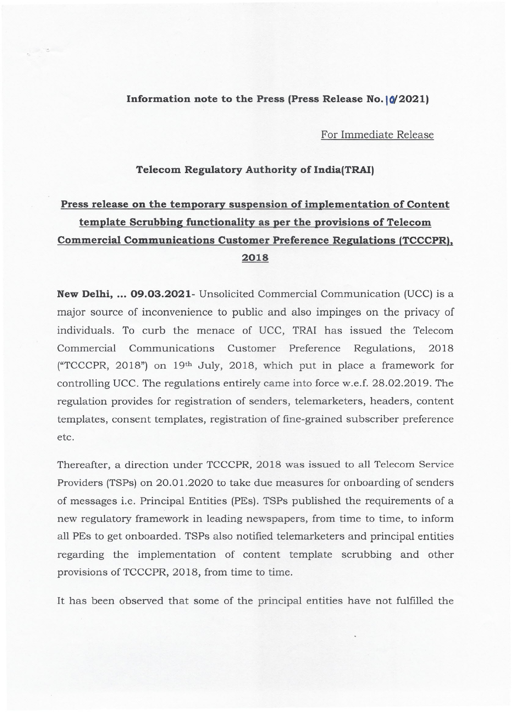## **Information note to the Press (Press Release No.**  $\left|\phi\right|$  **2021)**

For Immediate Release

**Telecom Regulatory Authority of India(TRAI)**

## **Press release on the temporary suspension of implementation of Content template Scrubbing functionality as per the provisions of Telecom Commercial Communications Customer Preference Regulations (TCCCPR). 2018**

**New Delhi, ... 09.03.2021-** Unsolicited Commercial Communication (UCC) is a major source of inconvenience to public and also impinges on the privacy of individuals. To curb the menace of UCC, TRAI has issued the Telecom Commercial Communications Customer Preference Regulations, 2018 ("TCCCPR,2018") on 19th July, 2018, which put in place a framework for controlling UCC. The regulations entirely came into force w.e.f. 28.02.2019. The regulation provides for registration of senders, telemarketers, headers, content templates, consent templates, registration of fine-grained subscriber preference etc.

Thereafter, a direction under TCCCPR, 2018 was issued to all Telecom Service Providers (TSPs) on 20.01.2020 to take due measures for onboarding of senders of messages i.e. Principal Entities (PEs). TSPs published the requirements of a new regulatory framework in leading newspapers, from time to time, to inform all PEs to get onboarded. TSPs also notified telemarketers and principal entities regarding the implementation of content template scrubbing and other provisions of TCCCPR, 2018, from time to time.

It has been observed that some of the principal entities have not fulfilled the